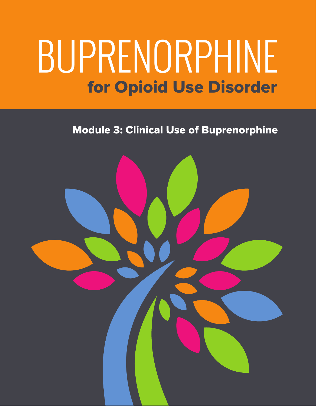# for Opioid Use Disorder BUPRENORPHINE

Module 3: Clinical Use of Buprenorphine

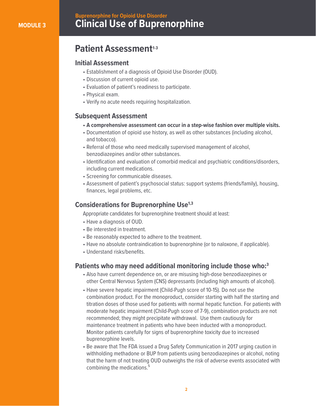## **Clinical Use of Buprenorphine Buprenorphine for Opioid Use Disorder**

## **Patient Assessment<sup>1-3</sup>**

## **Initial Assessment**

- Establishment of a diagnosis of Opioid Use Disorder (OUD).
- Discussion of current opioid use.
- Evaluation of patient's readiness to participate.
- Physical exam.
- Verify no acute needs requiring hospitalization.

## **Subsequent Assessment**

- **A comprehensive assessment can occur in a step-wise fashion over multiple visits.**
- Documentation of opioid use history, as well as other substances (including alcohol, and tobacco).
- Referral of those who need medically supervised management of alcohol, benzodiazepines and/or other substances.
- Identification and evaluation of comorbid medical and psychiatric conditions/disorders, including current medications.
- Screening for communicable diseases.
- Assessment of patient's psychosocial status: support systems (friends/family), housing, finances, legal problems, etc.

### **Considerations for Buprenorphine Use1,3**

Appropriate candidates for buprenorphine treatment should at least:

- Have a diagnosis of OUD.
- Be interested in treatment.
- Be reasonably expected to adhere to the treatment.
- Have no absolute contraindication to buprenorphine (or to naloxone, if applicable).
- Understand risks/benefits.

#### **Patients who may need additional monitoring include those who:3**

- Also have current dependence on, or are misusing high-dose benzodiazepines or other Central Nervous System (CNS) depressants (including high amounts of alcohol).
- Have severe hepatic impairment (Child-Pugh score of 10-15). Do not use the combination product. For the monoproduct, consider starting with half the starting and titration doses of those used for patients with normal hepatic function. For patients with moderate hepatic impairment (Child-Pugh score of 7-9), combination products are not recommended; they might precipitate withdrawal. Use them cautiously for maintenance treatment in patients who have been inducted with a monoproduct. Monitor patients carefully for signs of buprenorphine toxicity due to increased buprenorphine levels.
- Be aware that The FDA issued a Drug Safety Communication in 2017 urging caution in withholding methadone or BUP from patients using benzodiazepines or alcohol, noting that the harm of not treating OUD outweighs the risk of adverse events associated with combining the medications.<sup>5</sup>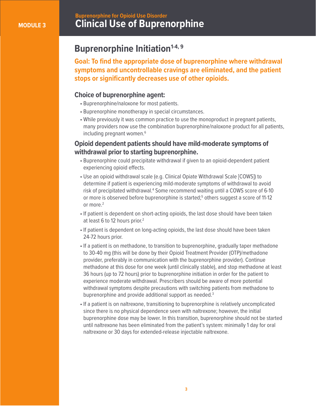## **Clinical Use of Buprenorphine Buprenorphine for Opioid Use Disorder**

## **Buprenorphine Initiation**<sup>1-4, 9</sup>

**Goal: To find the appropriate dose of buprenorphine where withdrawal symptoms and uncontrollable cravings are eliminated, and the patient stops or significantly decreases use of other opioids.**

#### **Choice of buprenorphine agent:**

- Buprenorphine/naloxone for most patients.
- Buprenorphine monotherapy in special circumstances.
- While previously it was common practice to use the monoproduct in pregnant patients, many providers now use the combination buprenorphine/naloxone product for all patients, including pregnant women.<sup>6</sup>

#### **Opioid dependent patients should have mild-moderate symptoms of withdrawal prior to starting buprenorphine.**

- Buprenorphine could precipitate withdrawal if given to an opioid-dependent patient experiencing opioid effects.
- Use an opioid withdrawal scale (e.g. Clinical Opiate Withdrawal Scale [COWS]) to determine if patient is experiencing mild-moderate symptoms of withdrawal to avoid risk of precipitated withdrawal.<sup>4</sup> Some recommend waiting until a COWS score of 6-10 or more is observed before buprenorphine is started;<sup>5</sup> others suggest a score of 11-12 or more.<sup>2</sup>
	- If patient is dependent on short-acting opioids, the last dose should have been taken at least 6 to 12 hours prior.<sup>2</sup>
	- If patient is dependent on long-acting opioids, the last dose should have been taken 24-72 hours prior.
	- If a patient is on methadone, to transition to buprenorphine, gradually taper methadone to 30-40 mg (this will be done by their Opioid Treatment Provider (OTP)/methadone provider, preferably in communication with the buprenorphine provider). Continue methadone at this dose for one week (until clinically stable), and stop methadone at least 36 hours (up to 72 hours) prior to buprenorphine initiation in order for the patient to experience moderate withdrawal. Prescribers should be aware of more potential withdrawal symptoms despite precautions with switching patients from methadone to buprenorphine and provide additional support as needed.<sup>3</sup>
	- If a patient is on naltrexone, transitioning to buprenorphine is relatively uncomplicated since there is no physical dependence seen with naltrexone; however, the initial buprenorphine dose may be lower. In this transition, buprenorphine should not be started until naltrexone has been eliminated from the patient's system: minimally 1 day for oral naltrexone or 30 days for extended-release injectable naltrexone.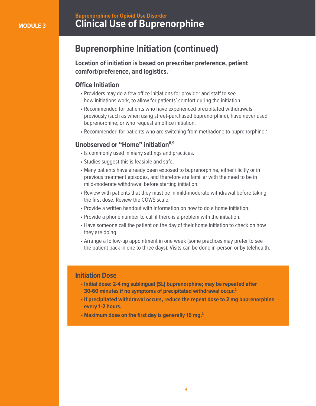## **Clinical Use of Buprenorphine Buprenorphine for Opioid Use Disorder**

## **Buprenorphine Initiation (continued)**

**Location of initiation is based on prescriber preference, patient comfort/preference, and logistics.**

#### **Office Initiation**

- Providers may do a few office initiations for provider and staff to see how initiations work, to allow for patients' comfort during the initiation.
- Recommended for patients who have experienced precipitated withdrawals previously (such as when using street-purchased buprenorphine), have never used buprenorphine, or who request an office initiation.
- Recommended for patients who are switching from methadone to buprenorphine.<sup>7</sup>

#### **Unobserved or "Home" initiation8,9**

- Is commonly used in many settings and practices.
- Studies suggest this is feasible and safe.
- Many patients have already been exposed to buprenorphine, either illicitly or in previous treatment episodes, and therefore are familiar with the need to be in mild-moderate withdrawal before starting initiation.
- Review with patients that they must be in mild-moderate withdrawal before taking the first dose. Review the COWS scale.
- Provide a written handout with information on how to do a home initiation.
- Provide a phone number to call if there is a problem with the initiation.
- Have someone call the patient on the day of their home initiation to check on how they are doing.
- Arrange a follow-up appointment in one week (some practices may prefer to see the patient back in one to three days). Visits can be done in-person or by telehealth.

#### **Initiation Dose**

- **Initial dose: 2-4 mg sublingual (SL) buprenorphine; may be repeated after 30-60 minutes if no symptoms of precipitated withdrawal occur.2**
- **If precipitated withdrawal occurs, reduce the repeat dose to 2 mg buprenorphine every 1-2 hours.**
- **Maximum dose on the first day is generally 16 mg.3**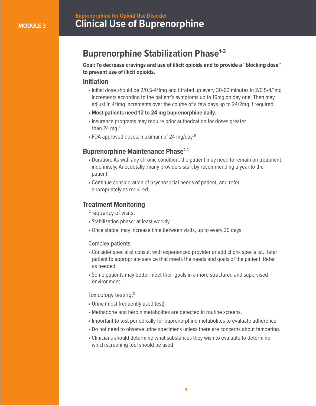## **Clinical Use of Buprenorphine Buprenorphine for Opioid Use Disorder**

## **Buprenorphine Stabilization Phase<sup>1-3</sup>**

**Goal: To decrease cravings and use of illicit opioids and to provide a "blocking dose" to prevent use of illicit opioids.**

#### **Initiation**

- Initial dose should be 2/0.5-4/1mg and titrated up every 30-60 minutes in 2/0.5-4/1mg increments according to the patient's symptoms up to 16mg on day one. Then may adjust in 4/1mg increments over the course of a few days up to 24/2mg if required.
- **Most patients need 12 to 24 mg buprenorphine daily.**
- Insurance programs may require prior authorization for doses greater than 24 mg. $10$
- FDA approved doses: maximum of 24 mg/day.<sup>11</sup>

#### **Buprenorphine Maintenance Phase**<sup>2,3</sup>

- Duration: As with any chronic condition, the patient may need to remain on treatment indefinitely. Anecdotally, many providers start by recommending a year to the patient.
- Continue consideration of psychosocial needs of patient, and refer appropriately as required.

#### **Treatment Monitoring**<sup>1</sup>

Frequency of visits:

- Stabilization phase: at least weekly
- Once stable, may increase time between visits, up to every 30 days

#### Complex patients:

- Consider specialist consult with experienced provider or addictions specialist. Refer patient to appropriate service that meets the needs and goals of the patient. Refer as needed.
- Some patients may better meet their goals in a more structured and supervised environment.

#### Toxicology testing:3

- Urine (most frequently used test).
- Methadone and heroin metabolites are detected in routine screens.
- Important to test periodically for buprenorphine metabolites to evaluate adherence.
- Do not need to observe urine specimens unless there are concerns about tampering.
- Clinicians should determine what substances they wish to evaluate to determine which screening tool should be used.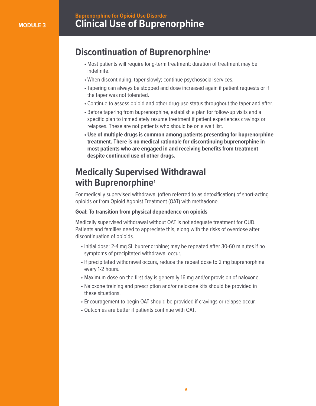## **Clinical Use of Buprenorphine Buprenorphine for Opioid Use Disorder**

## **Discontinuation of Buprenorphine1**

- Most patients will require long-term treatment; duration of treatment may be indefinite.
- When discontinuing, taper slowly; continue psychosocial services.
- Tapering can always be stopped and dose increased again if patient requests or if the taper was not tolerated.
- Continue to assess opioid and other drug-use status throughout the taper and after.
- Before tapering from buprenorphine, establish a plan for follow-up visits and a specific plan to immediately resume treatment if patient experiences cravings or relapses. These are not patients who should be on a wait list.
- **Use of multiple drugs is common among patients presenting for buprenorphine treatment. There is no medical rationale for discontinuing buprenorphine in most patients who are engaged in and receiving benefits from treatment despite continued use of other drugs.**

## **Medically Supervised Withdrawal with Buprenorphine1**

For medically supervised withdrawal (often referred to as detoxification) of short-acting opioids or from Opioid Agonist Treatment (OAT) with methadone.

#### **Goal: To transition from physical dependence on opioids**

Medically supervised withdrawal without OAT is not adequate treatment for OUD. Patients and families need to appreciate this, along with the risks of overdose after discontinuation of opioids.

- Initial dose: 2-4 mg SL buprenorphine; may be repeated after 30-60 minutes if no symptoms of precipitated withdrawal occur.
- If precipitated withdrawal occurs, reduce the repeat dose to 2 mg buprenorphine every 1-2 hours.
- Maximum dose on the first day is generally 16 mg and/or provision of naloxone.
- Naloxone training and prescription and/or naloxone kits should be provided in these situations.
- Encouragement to begin OAT should be provided if cravings or relapse occur.
- Outcomes are better if patients continue with OAT.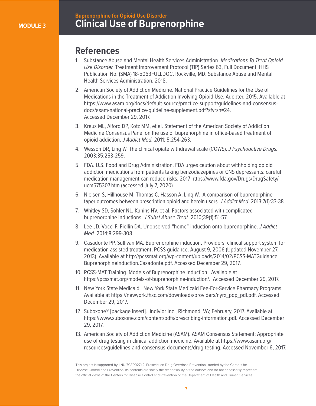## **Clinical Use of Buprenorphine Buprenorphine for Opioid Use Disorder**

## **References**

- 1. Substance Abuse and Mental Health Services Administration. *Medications To Treat Opioid Use Disorder.* Treatment Improvement Protocol (TIP) Series 63, Full Document. HHS Publication No. (SMA) 18-5063FULLDOC. Rockville, MD: Substance Abuse and Mental Health Services Administration, 2018.
- 2. American Society of Addiction Medicine. National Practice Guidelines for the Use of Medications in the Treatment of Addiction Involving Opioid Use. Adopted 2015. Available at https://www.asam.org/docs/default-source/practice-support/guidelines-and-consensus docs/asam-national-practice-guideline-supplement.pdf?sfvrsn=24. Accessed December 29, 2017.
- 3. Kraus ML, Alford DP, Kotz MM, et al. Statement of the American Society of Addiction Medicine Consensus Panel on the use of buprenorphine in office-based treatment of opioid addiction. *J Addict Med.* 2011; 5:254-263.
- 4. Wesson DR, Ling W. The clinical opiate withdrawal scale (COWS). *J Psychoactive Drugs.* 2003;35:253-259.
- 5. FDA. U.S. Food and Drug Administration. FDA urges caution about withholding opioid addiction medications from patients taking benzodiazepines or CNS depressants: careful medication management can reduce risks. 2017 https://www.fda.gov/Drugs/DrugSafety/ ucm575307.htm (accessed July 7, 2020)
- 6. Nielsen S, Hillhouse M, Thomas C, Hasson A, Linq W. A comparison of buprenorphine taper outcomes between prescription opioid and heroin users. *J Addict Med.* 2013;7(1):33-38.
- 7. Whitley SD, Sohler NL, Kunins HV, et al. Factors associated with complicated buprenorphine inductions. *J Subst Abuse Treat.* 2010;39(1):51-57.
- 8. Lee JD, Vocci F, Fiellin DA. Unobserved "home" induction onto buprenorphine. *J Addict Med.* 2014;8:299-308.
- 9. Casadonte PP, Sullivan MA. Buprenorphine induction. Providers' clinical support system for medication assisted treatment, PCSS guidance. August 9, 2006 (Updated November 27, 2013). Available at http://pcssmat.org/wp-content/uploads/2014/02/PCSS-MATGuidance BuprenorphineInduction.Casadonte.pdf. Accessed December 29, 2017.
- 10. PCSS-MAT Training. Models of Buprenorphine Induction. Available at https://pcssmat.org/models-of-buprenorphine-induction/. Accessed December 29, 2017.
- 11. New York State Medicaid. New York State Medicaid Fee-For-Service Pharmacy Programs. Available at https://newyork.fhsc.com/downloads/providers/nyrx\_pdp\_pdl.pdf. Accessed December 29, 2017.
- 12. Suboxone® [package insert]. Indivior Inc., Richmond, VA; February, 2017. Available at https://www.suboxone.com/content/pdfs/prescribing-information.pdf. Accessed December 29, 2017.
- 13. American Society of Addiction Medicine (ASAM). ASAM Consensus Statement: Appropriate use of drug testing in clinical addiction medicine. Available at https://www.asam.org/ resources/guidelines-and-consensus-documents/drug-testing. Accessed November 6, 2017.

This project is supported by 1 NU17CE002742 (Prescription Drug Overdose Prevention), funded by the Centers for Disease Control and Prevention. Its contents are solely the responsibility of the authors and do not necessarily represent the official views of the Centers for Disease Control and Prevention or the Department of Health and Human Services.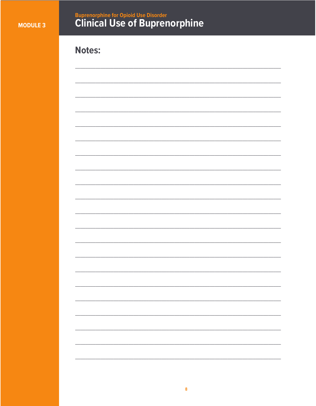## **Buprenorphine for Opioid Use Disorder<br>Clinical Use of Buprenorphine**

## **Notes:**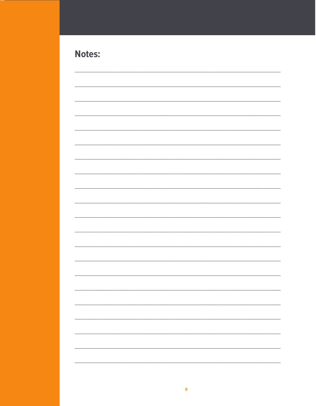## Notes:

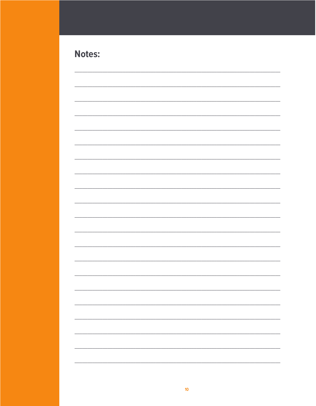| <b>Notes:</b> |  |
|---------------|--|
|---------------|--|

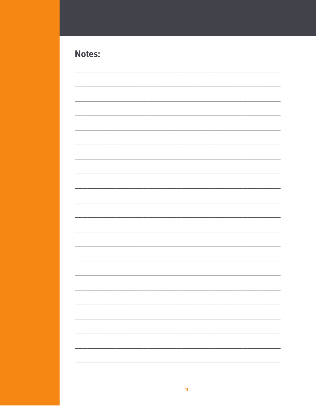## **Notes:**